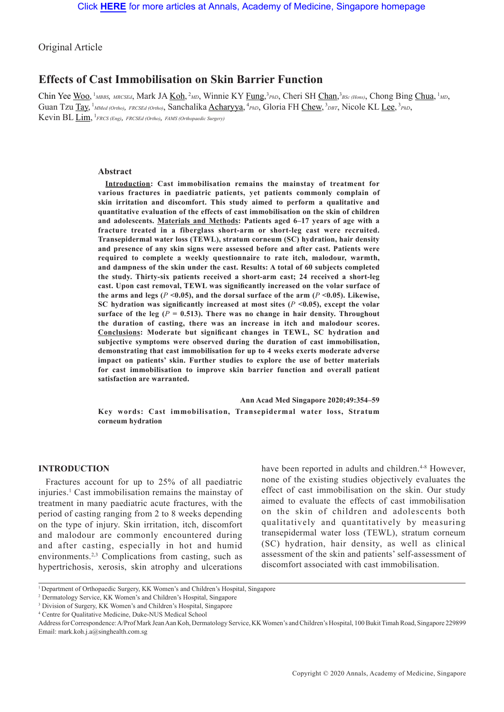Original Article

# **Effects of Cast Immobilisation on Skin Barrier Function**

Chin Yee <u>Woo</u>, <sup>1</sup>MBBS, MRCSEd, Mark JA <u>Koh</u>, <sup>2</sup>MD, Winnie KY Fung, <sup>3</sup>PhD, Cheri SH Chan, <sup>3</sup>BSc (Hons), Chong Bing Chua, <sup>1</sup>MD, Guan Tzu Tay, <sup>1</sup>MMed (Ortho), FRCSEd (Ortho), Sanchalika <u>Acharyya</u>, <sup>4</sup>PhD, Gloria FH Chew, <sup>3</sup>DBT, Nicole KL Lee, <sup>3</sup>PhD, Kevin BL Lim, <sup>1</sup>*FRCS (Eng), FRCSEd (Ortho), FAMS (Orthopaedic Surgery)*

### **Abstract**

**Introduction: Cast immobilisation remains the mainstay of treatment for various fractures in paediatric patients, yet patients commonly complain of skin irritation and discomfort. This study aimed to perform a qualitative and quantitative evaluation of the effects of cast immobilisation on the skin of children and adolescents. Materials and Methods: Patients aged 6–17 years of age with a fracture treated in a fiberglass short-arm or short-leg cast were recruited. Transepidermal water loss (TEWL), stratum corneum (SC) hydration, hair density and presence of any skin signs were assessed before and after cast. Patients were required to complete a weekly questionnaire to rate itch, malodour, warmth, and dampness of the skin under the cast. Results: A total of 60 subjects completed the study. Thirty-six patients received a short-arm cast; 24 received a short-leg cast. Upon cast removal, TEWL was significantly increased on the volar surface of**  the arms and legs ( $P \le 0.05$ ), and the dorsal surface of the arm ( $P \le 0.05$ ). Likewise, SC hydration was significantly increased at most sites  $(P \le 0.05)$ , except the volar surface of the leg ( $P = 0.513$ ). There was no change in hair density. Throughout **the duration of casting, there was an increase in itch and malodour scores. Conclusions: Moderate but significant changes in TEWL, SC hydration and subjective symptoms were observed during the duration of cast immobilisation, demonstrating that cast immobilisation for up to 4 weeks exerts moderate adverse impact on patients' skin. Further studies to explore the use of better materials for cast immobilisation to improve skin barrier function and overall patient satisfaction are warranted.** 

**Ann Acad Med Singapore 2020;49:354–59 Key words: Cast immobilisation, Transepidermal water loss, Stratum corneum hydration**

# **INTRODUCTION**

Fractures account for up to 25% of all paediatric injuries.<sup>1</sup> Cast immobilisation remains the mainstay of treatment in many paediatric acute fractures, with the period of casting ranging from 2 to 8 weeks depending on the type of injury. Skin irritation, itch, discomfort and malodour are commonly encountered during and after casting, especially in hot and humid environments.<sup>2,3</sup> Complications from casting, such as hypertrichosis, xerosis, skin atrophy and ulcerations

have been reported in adults and children.<sup>4-8</sup> However, none of the existing studies objectively evaluates the effect of cast immobilisation on the skin. Our study aimed to evaluate the effects of cast immobilisation on the skin of children and adolescents both qualitatively and quantitatively by measuring transepidermal water loss (TEWL), stratum corneum (SC) hydration, hair density, as well as clinical assessment of the skin and patients' self-assessment of discomfort associated with cast immobilisation.

<sup>&</sup>lt;sup>1</sup> Department of Orthopaedic Surgery, KK Women's and Children's Hospital, Singapore

<sup>2</sup> Dermatology Service, KK Women's and Children's Hospital, Singapore

<sup>3</sup> Division of Surgery, KK Women's and Children's Hospital, Singapore

<sup>4</sup> Centre for Qualitative Medicine, Duke-NUS Medical School

Address for Correspondence: A/Prof Mark Jean Aan Koh, Dermatology Service, KK Women's and Children's Hospital, 100 Bukit Timah Road, Singapore 229899 Email: mark.koh.j.a@singhealth.com.sg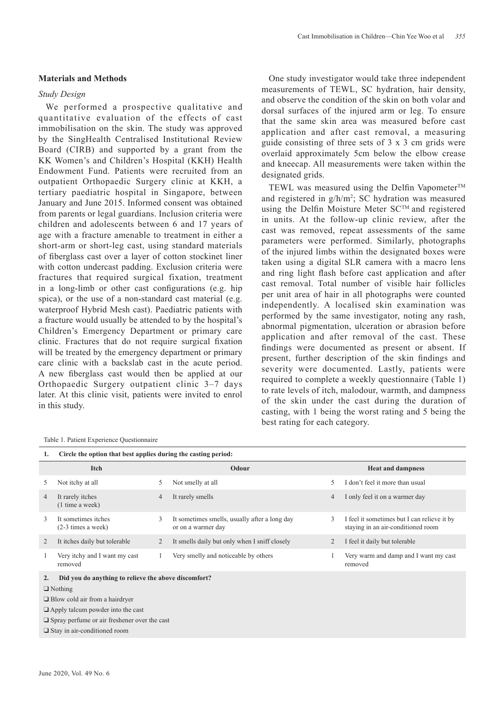# **Materials and Methods**

### *Study Design*

We performed a prospective qualitative and quantitative evaluation of the effects of cast immobilisation on the skin. The study was approved by the SingHealth Centralised Institutional Review Board (CIRB) and supported by a grant from the KK Women's and Children's Hospital (KKH) Health Endowment Fund. Patients were recruited from an outpatient Orthopaedic Surgery clinic at KKH, a tertiary paediatric hospital in Singapore, between January and June 2015. Informed consent was obtained from parents or legal guardians. Inclusion criteria were children and adolescents between 6 and 17 years of age with a fracture amenable to treatment in either a short-arm or short-leg cast, using standard materials of fiberglass cast over a layer of cotton stockinet liner with cotton undercast padding. Exclusion criteria were fractures that required surgical fixation, treatment in a long-limb or other cast configurations (e.g. hip spica), or the use of a non-standard cast material (e.g. waterproof Hybrid Mesh cast). Paediatric patients with a fracture would usually be attended to by the hospital's Children's Emergency Department or primary care clinic. Fractures that do not require surgical fixation will be treated by the emergency department or primary care clinic with a backslab cast in the acute period. A new fiberglass cast would then be applied at our Orthopaedic Surgery outpatient clinic 3–7 days later. At this clinic visit, patients were invited to enrol in this study.

#### Table 1. Patient Experience Questionnaire

One study investigator would take three independent measurements of TEWL, SC hydration, hair density, and observe the condition of the skin on both volar and dorsal surfaces of the injured arm or leg. To ensure that the same skin area was measured before cast application and after cast removal, a measuring guide consisting of three sets of 3 x 3 cm grids were overlaid approximately 5cm below the elbow crease and kneecap. All measurements were taken within the designated grids.

TEWL was measured using the Delfin Vapometer<sup>TM</sup> and registered in  $g/h/m^2$ ; SC hydration was measured using the Delfin Moisture Meter SC<sup>TM</sup> and registered in units. At the follow-up clinic review, after the cast was removed, repeat assessments of the same parameters were performed. Similarly, photographs of the injured limbs within the designated boxes were taken using a digital SLR camera with a macro lens and ring light flash before cast application and after cast removal. Total number of visible hair follicles per unit area of hair in all photographs were counted independently. A localised skin examination was performed by the same investigator, noting any rash, abnormal pigmentation, ulceration or abrasion before application and after removal of the cast. These findings were documented as present or absent. If present, further description of the skin findings and severity were documented. Lastly, patients were required to complete a weekly questionnaire (Table 1) to rate levels of itch, malodour, warmth, and dampness of the skin under the cast during the duration of casting, with 1 being the worst rating and 5 being the best rating for each category.

|                                                     | Circle the option that best applies during the casting period: |   |                                                                     |   |                                                                                   |  |  |  |  |
|-----------------------------------------------------|----------------------------------------------------------------|---|---------------------------------------------------------------------|---|-----------------------------------------------------------------------------------|--|--|--|--|
|                                                     | <b>Itch</b>                                                    |   | Odour                                                               |   | <b>Heat and dampness</b>                                                          |  |  |  |  |
| 5                                                   | Not itchy at all                                               | 5 | Not smelly at all                                                   | 5 | I don't feel it more than usual                                                   |  |  |  |  |
| 4                                                   | It rarely itches<br>(1 time a week)                            | 4 | It rarely smells                                                    | 4 | I only feel it on a warmer day                                                    |  |  |  |  |
| 3                                                   | It sometimes itches<br>$(2-3 \times a \times e^k)$             | 3 | It sometimes smells, usually after a long day<br>or on a warmer day | 3 | I feel it sometimes but I can relieve it by<br>staying in an air-conditioned room |  |  |  |  |
| 2                                                   | It itches daily but tolerable                                  | 2 | It smells daily but only when I sniff closely                       | 2 | I feel it daily but tolerable                                                     |  |  |  |  |
|                                                     | Very itchy and I want my cast<br>removed                       |   | Very smelly and noticeable by others                                |   | Very warm and damp and I want my cast<br>removed                                  |  |  |  |  |
| 2.                                                  | Did you do anything to relieve the above discomfort?           |   |                                                                     |   |                                                                                   |  |  |  |  |
| $\Box$ Nothing                                      |                                                                |   |                                                                     |   |                                                                                   |  |  |  |  |
| $\Box$ Blow cold air from a hairdryer               |                                                                |   |                                                                     |   |                                                                                   |  |  |  |  |
| $\Box$ Apply talcum powder into the cast            |                                                                |   |                                                                     |   |                                                                                   |  |  |  |  |
| $\Box$ Spray perfume or air freshener over the cast |                                                                |   |                                                                     |   |                                                                                   |  |  |  |  |
| $\Box$ Stay in air-conditioned room                 |                                                                |   |                                                                     |   |                                                                                   |  |  |  |  |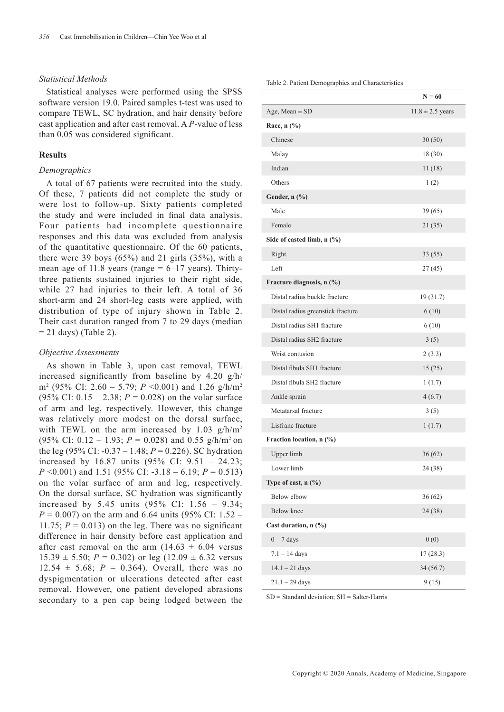# *Statistical Methods*

Statistical analyses were performed using the SPSS software version 19.0. Paired samples t-test was used to compare TEWL, SC hydration, and hair density before cast application and after cast removal. A *P*-value of less than 0.05 was considered significant.

# **Results**

### *Demographics*

A total of 67 patients were recruited into the study. Of these, 7 patients did not complete the study or were lost to follow-up. Sixty patients completed the study and were included in final data analysis. Four patients had incomplete questionnaire responses and this data was excluded from analysis of the quantitative questionnaire. Of the 60 patients, there were 39 boys  $(65%)$  and 21 girls  $(35%)$ , with a mean age of 11.8 years (range  $= 6-17$  years). Thirtythree patients sustained injuries to their right side, while 27 had injuries to their left. A total of 36 short-arm and 24 short-leg casts were applied, with distribution of type of injury shown in Table 2. Their cast duration ranged from 7 to 29 days (median  $= 21$  days) (Table 2).

#### *Objective Assessments*

As shown in Table 3, upon cast removal, TEWL increased significantly from baseline by 4.20 g/h/ m2 (95% CI: 2.60 – 5.79; *P* <0.001) and 1.26 g/h/m2 (95% CI:  $0.15 - 2.38$ ;  $P = 0.028$ ) on the volar surface of arm and leg, respectively. However, this change was relatively more modest on the dorsal surface, with TEWL on the arm increased by  $1.03$  g/h/m<sup>2</sup> (95% CI:  $0.12 - 1.93$ ;  $P = 0.028$ ) and 0.55 g/h/m<sup>2</sup> on the leg (95% CI: -0.37 – 1.48; *P* = 0.226). SC hydration increased by 16.87 units (95% CI: 9.51 – 24.23; *P* <0.001) and 1.51 (95% CI: -3.18 – 6.19; *P* = 0.513) on the volar surface of arm and leg, respectively. On the dorsal surface, SC hydration was significantly increased by 5.45 units (95% CI: 1.56 – 9.34;  $P = 0.007$ ) on the arm and 6.64 units (95% CI: 1.52 – 11.75;  $P = 0.013$ ) on the leg. There was no significant difference in hair density before cast application and after cast removal on the arm  $(14.63 \pm 6.04$  versus  $15.39 \pm 5.50$ ;  $P = 0.302$ ) or leg  $(12.09 \pm 6.32$  versus  $12.54 \pm 5.68$ ;  $P = 0.364$ ). Overall, there was no dyspigmentation or ulcerations detected after cast removal. However, one patient developed abrasions secondary to a pen cap being lodged between the

| Table 2. Patient Demographics and Characteristics |
|---------------------------------------------------|
|---------------------------------------------------|

|                                   | $N = 60$             |
|-----------------------------------|----------------------|
| Age, Mean $\pm$ SD                | $11.8 \pm 2.5$ years |
| Race, $n$ $(\%)$                  |                      |
| Chinese                           | 30(50)               |
| Malay                             | 18 (30)              |
| Indian                            | 11(18)               |
| Others                            | 1(2)                 |
| Gender, n (%)                     |                      |
| Male                              | 39(65)               |
| Female                            | 21 (35)              |
| Side of casted limb, n (%)        |                      |
| Right                             | 33(55)               |
| Left                              | 27 (45)              |
| Fracture diagnosis, n (%)         |                      |
| Distal radius buckle fracture     | 19 (31.7)            |
| Distal radius greenstick fracture | 6(10)                |
| Distal radius SH1 fracture        | 6(10)                |
| Distal radius SH2 fracture        | 3(5)                 |
| Wrist contusion                   | 2(3.3)               |
| Distal fibula SH1 fracture        | 15(25)               |
| Distal fibula SH2 fracture        | 1(1.7)               |
| Ankle sprain                      | 4(6.7)               |
| Metatarsal fracture               | 3(5)                 |
| Lisfranc fracture                 | 1(1.7)               |
| Fraction location, n (%)          |                      |
| Upper limb                        | 36(62)               |
| Lower limb                        | 24 (38)              |
| Type of cast, $n$ (%)             |                      |
| Below elbow                       | 36(62)               |
| Below knee                        | 24 (38)              |
| Cast duration, $n$ (%)            |                      |
| $0 - 7$ days                      | 0(0)                 |
| $7.1 - 14$ days                   | 17(28.3)             |
| $14.1 - 21$ days                  | 34(56.7)             |
| $21.1 - 29$ days                  | 9(15)                |

SD = Standard deviation; SH = Salter-Harris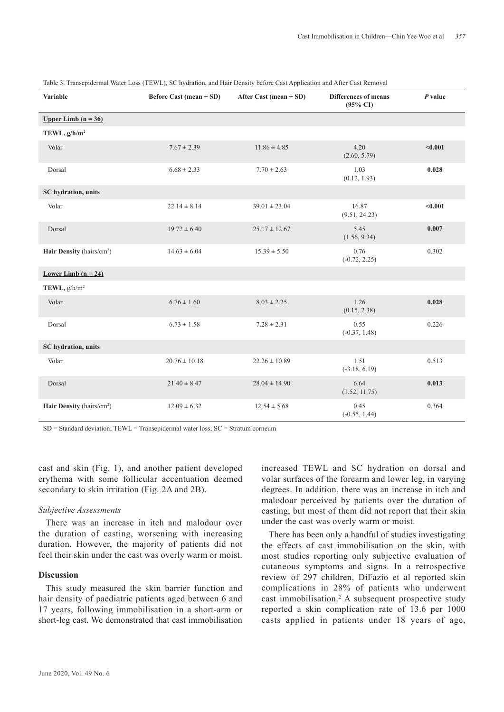| <b>Variable</b>                       | Before Cast (mean $\pm$ SD) | After Cast (mean $\pm$ SD) | <b>Differences of means</b><br>$(95\% \text{ CI})$ | $P$ value |
|---------------------------------------|-----------------------------|----------------------------|----------------------------------------------------|-----------|
| Upper Limb $(n = 36)$                 |                             |                            |                                                    |           |
| TEWL, $g/h/m^2$                       |                             |                            |                                                    |           |
| Volar                                 | $7.67 \pm 2.39$             | $11.86 \pm 4.85$           | 4.20<br>(2.60, 5.79)                               | < 0.001   |
| Dorsal                                | $6.68 \pm 2.33$             | $7.70 \pm 2.63$            | 1.03<br>(0.12, 1.93)                               | 0.028     |
| SC hydration, units                   |                             |                            |                                                    |           |
| Volar                                 | $22.14 \pm 8.14$            | $39.01 \pm 23.04$          | 16.87<br>(9.51, 24.23)                             | < 0.001   |
| Dorsal                                | $19.72 \pm 6.40$            | $25.17 \pm 12.67$          | 5.45<br>(1.56, 9.34)                               | 0.007     |
| Hair Density (hairs/cm <sup>2</sup> ) | $14.63 \pm 6.04$            | $15.39 \pm 5.50$           | 0.76<br>$(-0.72, 2.25)$                            | 0.302     |
| Lower Limb $(n = 24)$                 |                             |                            |                                                    |           |
| TEWL, $g/h/m^2$                       |                             |                            |                                                    |           |
| Volar                                 | $6.76 \pm 1.60$             | $8.03 \pm 2.25$            | 1.26<br>(0.15, 2.38)                               | 0.028     |
| Dorsal                                | $6.73 \pm 1.58$             | $7.28 \pm 2.31$            | 0.55<br>$(-0.37, 1.48)$                            | 0.226     |
| SC hydration, units                   |                             |                            |                                                    |           |
| Volar                                 | $20.76 \pm 10.18$           | $22.26 \pm 10.89$          | 1.51<br>$(-3.18, 6.19)$                            | 0.513     |
| Dorsal                                | $21.40 \pm 8.47$            | $28.04 \pm 14.90$          | 6.64<br>(1.52, 11.75)                              | 0.013     |
| Hair Density (hairs/cm <sup>2</sup> ) | $12.09 \pm 6.32$            | $12.54 \pm 5.68$           | 0.45<br>$(-0.55, 1.44)$                            | 0.364     |

Table 3. Transepidermal Water Loss (TEWL), SC hydration, and Hair Density before Cast Application and After Cast Removal

 $SD = Standard deviation$ ; TEWL = Transepidermal water loss;  $SC =q$  Stratum corneum

cast and skin (Fig. 1), and another patient developed erythema with some follicular accentuation deemed secondary to skin irritation (Fig. 2A and 2B).

#### *Subjective Assessments*

There was an increase in itch and malodour over the duration of casting, worsening with increasing duration. However, the majority of patients did not feel their skin under the cast was overly warm or moist.

# **Discussion**

This study measured the skin barrier function and hair density of paediatric patients aged between 6 and 17 years, following immobilisation in a short-arm or short-leg cast. We demonstrated that cast immobilisation

increased TEWL and SC hydration on dorsal and volar surfaces of the forearm and lower leg, in varying degrees. In addition, there was an increase in itch and malodour perceived by patients over the duration of casting, but most of them did not report that their skin under the cast was overly warm or moist.

There has been only a handful of studies investigating the effects of cast immobilisation on the skin, with most studies reporting only subjective evaluation of cutaneous symptoms and signs. In a retrospective review of 297 children, DiFazio et al reported skin complications in 28% of patients who underwent cast immobilisation.2 A subsequent prospective study reported a skin complication rate of 13.6 per 1000 casts applied in patients under 18 years of age,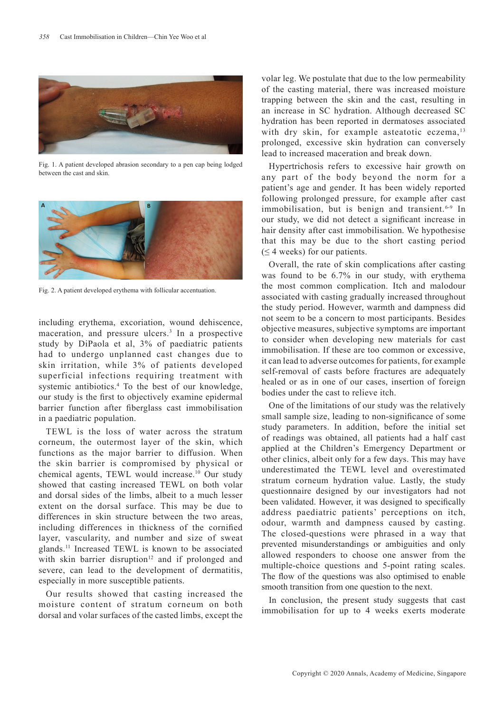

Fig. 1. A patient developed abrasion secondary to a pen cap being lodged between the cast and skin.



Fig. 2. A patient developed erythema with follicular accentuation.

including erythema, excoriation, wound dehiscence, maceration, and pressure ulcers.<sup>3</sup> In a prospective study by DiPaola et al, 3% of paediatric patients had to undergo unplanned cast changes due to skin irritation, while 3% of patients developed superficial infections requiring treatment with systemic antibiotics.<sup>4</sup> To the best of our knowledge, our study is the first to objectively examine epidermal barrier function after fiberglass cast immobilisation in a paediatric population.

TEWL is the loss of water across the stratum corneum, the outermost layer of the skin, which functions as the major barrier to diffusion. When the skin barrier is compromised by physical or chemical agents, TEWL would increase.<sup>10</sup> Our study showed that casting increased TEWL on both volar and dorsal sides of the limbs, albeit to a much lesser extent on the dorsal surface. This may be due to differences in skin structure between the two areas, including differences in thickness of the cornified layer, vascularity, and number and size of sweat glands.11 Increased TEWL is known to be associated with skin barrier disruption<sup>12</sup> and if prolonged and severe, can lead to the development of dermatitis, especially in more susceptible patients.

Our results showed that casting increased the moisture content of stratum corneum on both dorsal and volar surfaces of the casted limbs, except the

volar leg. We postulate that due to the low permeability of the casting material, there was increased moisture trapping between the skin and the cast, resulting in an increase in SC hydration. Although decreased SC hydration has been reported in dermatoses associated with dry skin, for example asteatotic eczema,<sup>13</sup> prolonged, excessive skin hydration can conversely lead to increased maceration and break down.

Hypertrichosis refers to excessive hair growth on any part of the body beyond the norm for a patient's age and gender. It has been widely reported following prolonged pressure, for example after cast immobilisation, but is benign and transient.<sup>6-9</sup> In our study, we did not detect a significant increase in hair density after cast immobilisation. We hypothesise that this may be due to the short casting period  $(\leq 4$  weeks) for our patients.

Overall, the rate of skin complications after casting was found to be 6.7% in our study, with erythema the most common complication. Itch and malodour associated with casting gradually increased throughout the study period. However, warmth and dampness did not seem to be a concern to most participants. Besides objective measures, subjective symptoms are important to consider when developing new materials for cast immobilisation. If these are too common or excessive, it can lead to adverse outcomes for patients, for example self-removal of casts before fractures are adequately healed or as in one of our cases, insertion of foreign bodies under the cast to relieve itch.

One of the limitations of our study was the relatively small sample size, leading to non-significance of some study parameters. In addition, before the initial set of readings was obtained, all patients had a half cast applied at the Children's Emergency Department or other clinics, albeit only for a few days. This may have underestimated the TEWL level and overestimated stratum corneum hydration value. Lastly, the study questionnaire designed by our investigators had not been validated. However, it was designed to specifically address paediatric patients' perceptions on itch, odour, warmth and dampness caused by casting. The closed-questions were phrased in a way that prevented misunderstandings or ambiguities and only allowed responders to choose one answer from the multiple-choice questions and 5-point rating scales. The flow of the questions was also optimised to enable smooth transition from one question to the next.

In conclusion, the present study suggests that cast immobilisation for up to 4 weeks exerts moderate